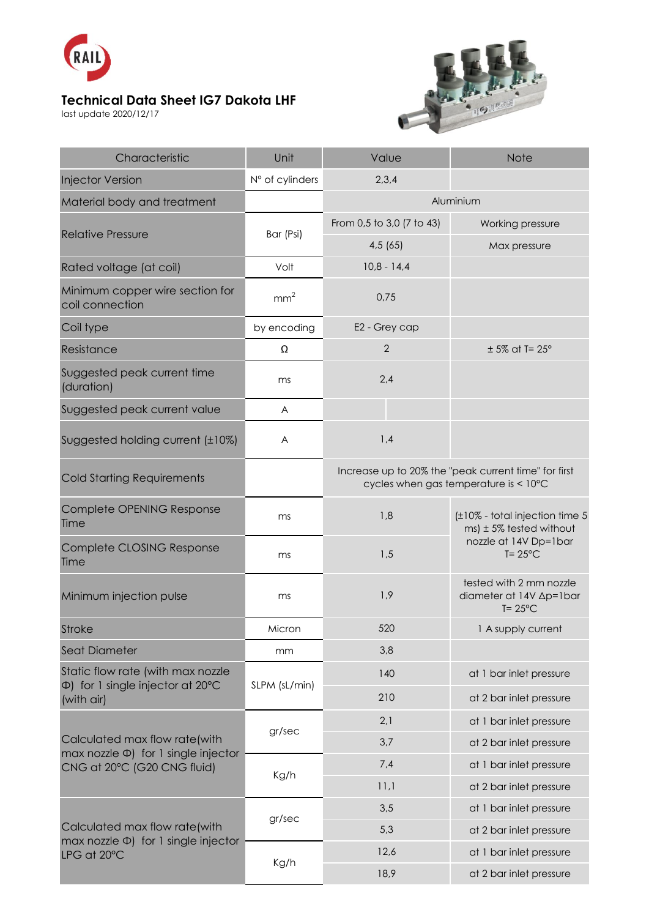

## **Technical Data Sheet IG7 Dakota LHF**

last update 2020/12/17



| Characteristic                                                                                              | Unit            | Value                                                                                         | <b>Note</b>                                                                                                 |
|-------------------------------------------------------------------------------------------------------------|-----------------|-----------------------------------------------------------------------------------------------|-------------------------------------------------------------------------------------------------------------|
| <b>Injector Version</b>                                                                                     | N° of cylinders | 2,3,4                                                                                         |                                                                                                             |
| Material body and treatment                                                                                 |                 | Aluminium                                                                                     |                                                                                                             |
| <b>Relative Pressure</b>                                                                                    | Bar (Psi)       | From 0,5 to 3,0 (7 to 43)                                                                     | Working pressure                                                                                            |
|                                                                                                             |                 | 4,5(65)                                                                                       | Max pressure                                                                                                |
| Rated voltage (at coil)                                                                                     | Volt            | $10,8 - 14,4$                                                                                 |                                                                                                             |
| Minimum copper wire section for<br>coil connection                                                          | mm <sup>2</sup> | 0,75                                                                                          |                                                                                                             |
| Coil type                                                                                                   | by encoding     | E2 - Grey cap                                                                                 |                                                                                                             |
| Resistance                                                                                                  | Ω               | $\overline{2}$                                                                                | $± 5\%$ at T= 25°                                                                                           |
| Suggested peak current time<br>(duration)                                                                   | ms              | 2,4                                                                                           |                                                                                                             |
| Suggested peak current value                                                                                | A               |                                                                                               |                                                                                                             |
| Suggested holding current (±10%)                                                                            | A               | 1,4                                                                                           |                                                                                                             |
| <b>Cold Starting Requirements</b>                                                                           |                 | Increase up to 20% the "peak current time" for first<br>cycles when gas temperature is < 10°C |                                                                                                             |
| Complete OPENING Response<br>Time                                                                           | ms              | 1,8                                                                                           | (±10% - total injection time 5<br>$ms$ ) ± 5% tested without<br>nozzle at 14V Dp=1bar<br>$T = 25^{\circ}$ C |
| Complete CLOSING Response<br>Time                                                                           | ms              | 1,5                                                                                           |                                                                                                             |
| Minimum injection pulse                                                                                     | ms              | 1,9                                                                                           | tested with 2 mm nozzle<br>diameter at 14V Ap=1bar<br>$T = 25^{\circ}C$                                     |
| <b>Stroke</b>                                                                                               | Micron          | 520                                                                                           | 1 A supply current                                                                                          |
| <b>Seat Diameter</b>                                                                                        | mm              | 3,8                                                                                           |                                                                                                             |
| Static flow rate (with max nozzle<br>$\Phi$ ) for 1 single injector at 20 $\degree$ C<br>(with air)         | SLPM (sL/min)   | 140                                                                                           | at 1 bar inlet pressure                                                                                     |
|                                                                                                             |                 | 210                                                                                           | at 2 bar inlet pressure                                                                                     |
| Calculated max flow rate(with<br>$max$ nozzle $\Phi$ ) for 1 single injector<br>CNG at 20°C (G20 CNG fluid) | gr/sec          | 2,1                                                                                           | at 1 bar inlet pressure                                                                                     |
|                                                                                                             |                 | 3,7                                                                                           | at 2 bar inlet pressure                                                                                     |
|                                                                                                             | Kg/h            | 7,4                                                                                           | at 1 bar inlet pressure                                                                                     |
|                                                                                                             |                 | 11,1                                                                                          | at 2 bar inlet pressure                                                                                     |
| Calculated max flow rate(with<br>max nozzle $\Phi$ ) for 1 single injector<br>LPG at 20°C                   | gr/sec          | 3,5                                                                                           | at 1 bar inlet pressure                                                                                     |
|                                                                                                             |                 | 5,3                                                                                           | at 2 bar inlet pressure                                                                                     |
|                                                                                                             | Kg/h            | 12,6                                                                                          | at 1 bar inlet pressure                                                                                     |
|                                                                                                             |                 | 18,9                                                                                          | at 2 bar inlet pressure                                                                                     |